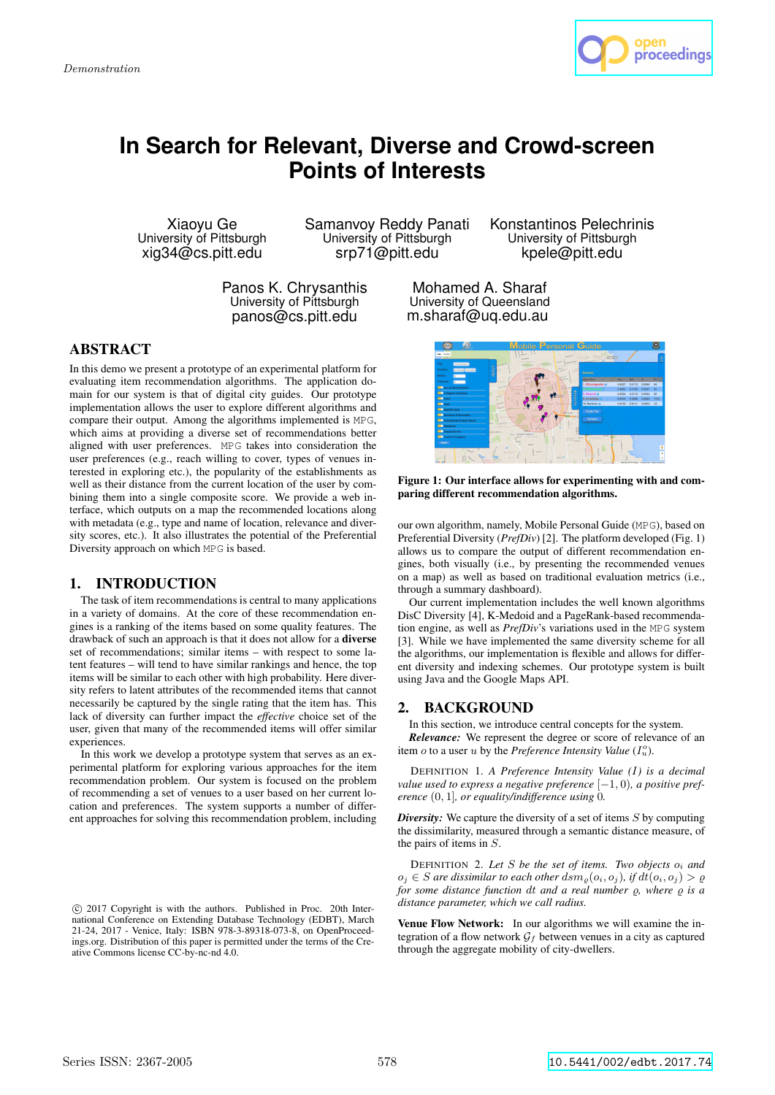

# **In Search for Relevant, Diverse and Crowd-screen Points of Interests**

Xiaoyu Ge University of Pittsburgh xig34@cs.pitt.edu

Samanvoy Reddy Panati University of Pittsburgh srp71@pitt.edu

Panos K. Chrysanthis University of Pittsburgh panos@cs.pitt.edu

Konstantinos Pelechrinis University of Pittsburgh kpele@pitt.edu

Mohamed A. Sharaf University of Queensland m.sharaf@uq.edu.au

# ABSTRACT

In this demo we present a prototype of an experimental platform for evaluating item recommendation algorithms. The application domain for our system is that of digital city guides. Our prototype implementation allows the user to explore different algorithms and compare their output. Among the algorithms implemented is MPG, which aims at providing a diverse set of recommendations better aligned with user preferences. MPG takes into consideration the user preferences (e.g., reach willing to cover, types of venues interested in exploring etc.), the popularity of the establishments as well as their distance from the current location of the user by combining them into a single composite score. We provide a web interface, which outputs on a map the recommended locations along with metadata (e.g., type and name of location, relevance and diversity scores, etc.). It also illustrates the potential of the Preferential Diversity approach on which MPG is based.

## 1. INTRODUCTION

The task of item recommendations is central to many applications in a variety of domains. At the core of these recommendation engines is a ranking of the items based on some quality features. The drawback of such an approach is that it does not allow for a diverse set of recommendations; similar items – with respect to some latent features – will tend to have similar rankings and hence, the top items will be similar to each other with high probability. Here diversity refers to latent attributes of the recommended items that cannot necessarily be captured by the single rating that the item has. This lack of diversity can further impact the *effective* choice set of the user, given that many of the recommended items will offer similar experiences.

In this work we develop a prototype system that serves as an experimental platform for exploring various approaches for the item recommendation problem. Our system is focused on the problem of recommending a set of venues to a user based on her current location and preferences. The system supports a number of different approaches for solving this recommendation problem, including

Figure 1: Our interface allows for experimenting with and comparing different recommendation algorithms.

our own algorithm, namely, Mobile Personal Guide (MPG), based on Preferential Diversity (*PrefDiv*) [2]. The platform developed (Fig. 1) allows us to compare the output of different recommendation engines, both visually (i.e., by presenting the recommended venues on a map) as well as based on traditional evaluation metrics (i.e., through a summary dashboard).

Our current implementation includes the well known algorithms DisC Diversity [4], K-Medoid and a PageRank-based recommendation engine, as well as *PrefDiv*'s variations used in the MPG system [3]. While we have implemented the same diversity scheme for all the algorithms, our implementation is flexible and allows for different diversity and indexing schemes. Our prototype system is built using Java and the Google Maps API.

## 2. BACKGROUND

In this section, we introduce central concepts for the system. *Relevance:* We represent the degree or score of relevance of an item  $o$  to a user  $u$  by the *Preference Intensity Value*  $(I_u^o)$ .

DEFINITION 1. *A Preference Intensity Value (*I*) is a decimal value used to express a negative preference* [−1, 0)*, a positive preference* (0, 1]*, or equality/indifference using* 0*.*

**Diversity:** We capture the diversity of a set of items S by computing the dissimilarity, measured through a semantic distance measure, of the pairs of items in S.

DEFINITION 2. *Let* S *be the set of items. Two objects* o<sup>i</sup> *and*  $o_j$  ∈ *S* are dissimilar to each other  $\dim_{\rho}(o_i, o_j)$ , if  $dt(o_i, o_j) > \rho$ *for some distance function dt and a real number*  $\rho$ *, where*  $\rho$  *is a distance parameter, which we call radius.*

Venue Flow Network: In our algorithms we will examine the integration of a flow network  $\mathcal{G}_f$  between venues in a city as captured through the aggregate mobility of city-dwellers.

c 2017 Copyright is with the authors. Published in Proc. 20th International Conference on Extending Database Technology (EDBT), March 21-24, 2017 - Venice, Italy: ISBN 978-3-89318-073-8, on OpenProceedings.org. Distribution of this paper is permitted under the terms of the Creative Commons license CC-by-nc-nd 4.0.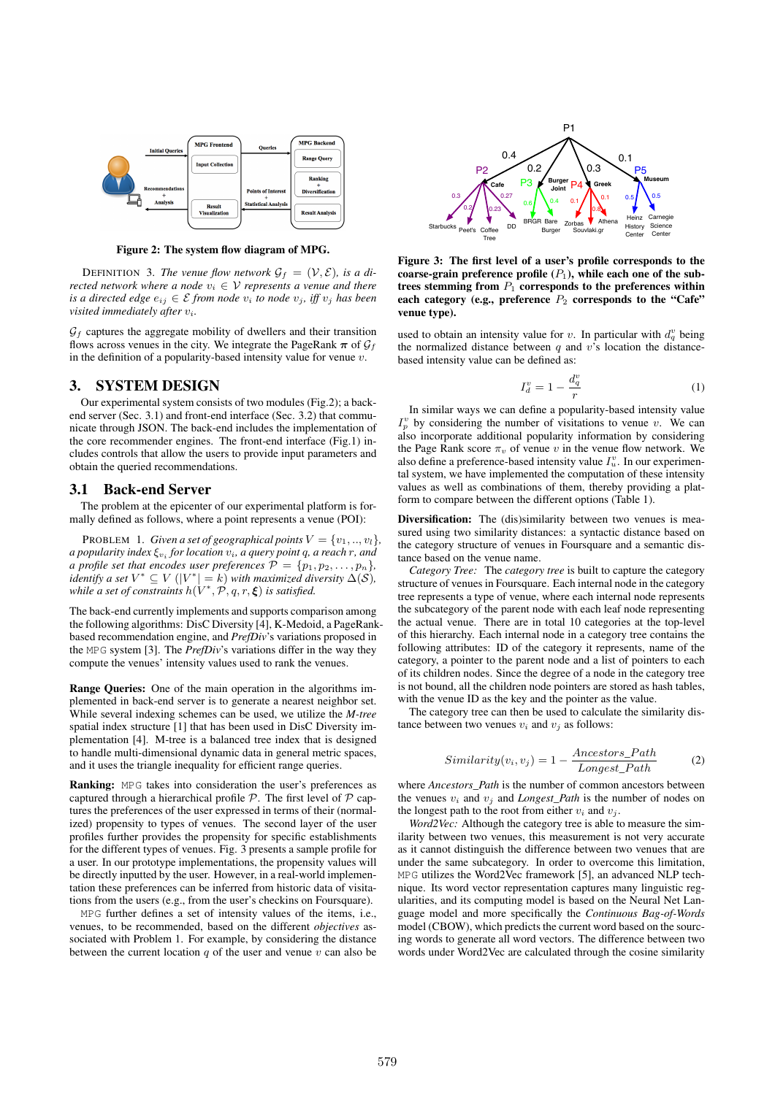

Figure 2: The system flow diagram of MPG.

DEFINITION 3. The venue flow network  $\mathcal{G}_f = (\mathcal{V}, \mathcal{E})$ , is a di*rected network where a node*  $v_i \in V$  *represents a venue and there is a directed edge*  $e_{ij} \in \mathcal{E}$  *from node*  $v_i$  *to node*  $v_j$ *, iff*  $v_j$  *has been visited immediately after* vi*.*

 $G_f$  captures the aggregate mobility of dwellers and their transition flows across venues in the city. We integrate the PageRank  $\pi$  of  $\mathcal{G}_f$ in the definition of a popularity-based intensity value for venue  $v$ .

#### 3. SYSTEM DESIGN

Our experimental system consists of two modules (Fig.2); a backend server (Sec. 3.1) and front-end interface (Sec. 3.2) that communicate through JSON. The back-end includes the implementation of the core recommender engines. The front-end interface (Fig.1) includes controls that allow the users to provide input parameters and obtain the queried recommendations.

#### 3.1 Back-end Server

The problem at the epicenter of our experimental platform is formally defined as follows, where a point represents a venue (POI):

PROBLEM 1. *Given a set of geographical points*  $V = \{v_1, ..., v_l\}$ , *a popularity index* ξ<sup>v</sup><sup>i</sup> *for location* vi*, a query point* q*, a reach* r*, and a profile set that encodes user preferences*  $\mathcal{P} = \{p_1, p_2, \ldots, p_n\}$ , *identify a set*  $V^* \subseteq V$  ( $|V^*| = k$ ) *with maximized diversity*  $\Delta(S)$ *,* while a set of constraints  $h(V^*, \mathcal{P}, q, r, \boldsymbol{\xi})$  is satisfied.

The back-end currently implements and supports comparison among the following algorithms: DisC Diversity [4], K-Medoid, a PageRankbased recommendation engine, and *PrefDiv*'s variations proposed in the MPG system [3]. The *PrefDiv*'s variations differ in the way they compute the venues' intensity values used to rank the venues.

Range Queries: One of the main operation in the algorithms implemented in back-end server is to generate a nearest neighbor set. While several indexing schemes can be used, we utilize the *M-tree* spatial index structure [1] that has been used in DisC Diversity implementation [4]. M-tree is a balanced tree index that is designed to handle multi-dimensional dynamic data in general metric spaces, and it uses the triangle inequality for efficient range queries.

Ranking: MPG takes into consideration the user's preferences as captured through a hierarchical profile  $P$ . The first level of  $P$  captures the preferences of the user expressed in terms of their (normalized) propensity to types of venues. The second layer of the user profiles further provides the propensity for specific establishments for the different types of venues. Fig. 3 presents a sample profile for a user. In our prototype implementations, the propensity values will be directly inputted by the user. However, in a real-world implementation these preferences can be inferred from historic data of visitations from the users (e.g., from the user's checkins on Foursquare).

MPG further defines a set of intensity values of the items, i.e., venues, to be recommended, based on the different *objectives* associated with Problem 1. For example, by considering the distance between the current location  $q$  of the user and venue  $v$  can also be



Figure 3: The first level of a user's profile corresponds to the coarse-grain preference profile  $(P_1)$ , while each one of the subtrees stemming from  $P_1$  corresponds to the preferences within each category (e.g., preference  $P_2$  corresponds to the "Cafe" venue type).

used to obtain an intensity value for v. In particular with  $d_q^v$  being the normalized distance between  $q$  and  $v$ 's location the distancebased intensity value can be defined as:

$$
I_d^v = 1 - \frac{d_q^v}{r} \tag{1}
$$

In similar ways we can define a popularity-based intensity value  $I_p^v$  by considering the number of visitations to venue v. We can also incorporate additional popularity information by considering the Page Rank score  $\pi_v$  of venue v in the venue flow network. We also define a preference-based intensity value  $I_u^v$ . In our experimental system, we have implemented the computation of these intensity values as well as combinations of them, thereby providing a platform to compare between the different options (Table 1).

Diversification: The (dis)similarity between two venues is measured using two similarity distances: a syntactic distance based on the category structure of venues in Foursquare and a semantic distance based on the venue name.

*Category Tree:* The *category tree* is built to capture the category structure of venues in Foursquare. Each internal node in the category tree represents a type of venue, where each internal node represents the subcategory of the parent node with each leaf node representing the actual venue. There are in total 10 categories at the top-level of this hierarchy. Each internal node in a category tree contains the following attributes: ID of the category it represents, name of the category, a pointer to the parent node and a list of pointers to each of its children nodes. Since the degree of a node in the category tree is not bound, all the children node pointers are stored as hash tables, with the venue ID as the key and the pointer as the value.

The category tree can then be used to calculate the similarity distance between two venues  $v_i$  and  $v_j$  as follows:

$$
Similarity(v_i, v_j) = 1 - \frac{Ancestors\_Path}{Longest\_Path}
$$
 (2)

where *Ancestors* Path is the number of common ancestors between the venues  $v_i$  and  $v_j$  and *Longest\_Path* is the number of nodes on the longest path to the root from either  $v_i$  and  $v_j$ .

*Word2Vec:* Although the category tree is able to measure the similarity between two venues, this measurement is not very accurate as it cannot distinguish the difference between two venues that are under the same subcategory. In order to overcome this limitation, MPG utilizes the Word2Vec framework [5], an advanced NLP technique. Its word vector representation captures many linguistic regularities, and its computing model is based on the Neural Net Language model and more specifically the *Continuous Bag-of-Words* model (CBOW), which predicts the current word based on the sourcing words to generate all word vectors. The difference between two words under Word2Vec are calculated through the cosine similarity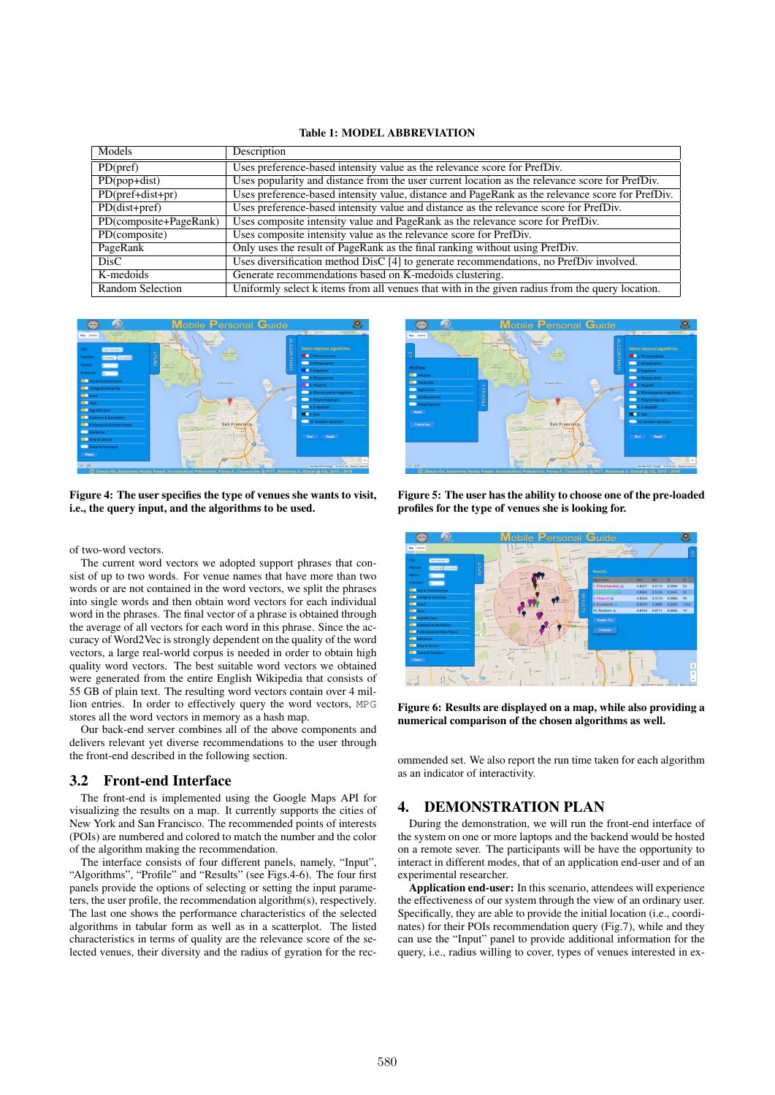#### Table 1: MODEL ABBREVIATION

| Models                  | Description                                                                                      |
|-------------------------|--------------------------------------------------------------------------------------------------|
| PD(pref)                | Uses preference-based intensity value as the relevance score for PrefDiv.                        |
| $PD(pop+dist)$          | Uses popularity and distance from the user current location as the relevance score for PrefDiv.  |
| $PD(pref+dist+pr)$      | Uses preference-based intensity value, distance and PageRank as the relevance score for PrefDiv. |
| $PD(dist+pref)$         | Uses preference-based intensity value and distance as the relevance score for PrefDiv.           |
| PD(composite+PageRank)  | Uses composite intensity value and PageRank as the relevance score for PrefDiv.                  |
| PD(composite)           | Uses composite intensity value as the relevance score for PrefDiv.                               |
| PageRank                | Only uses the result of PageRank as the final ranking without using PrefDiv.                     |
| DisC                    | Uses diversification method DisC [4] to generate recommendations, no PrefDiv involved.           |
| K-medoids               | Generate recommendations based on K-medoids clustering.                                          |
| <b>Random Selection</b> | Uniformly select k items from all venues that with in the given radius from the query location.  |



Figure 4: The user specifies the type of venues she wants to visit, i.e., the query input, and the algorithms to be used.

of two-word vectors.

The current word vectors we adopted support phrases that consist of up to two words. For venue names that have more than two words or are not contained in the word vectors, we split the phrases into single words and then obtain word vectors for each individual word in the phrases. The final vector of a phrase is obtained through the average of all vectors for each word in this phrase. Since the accuracy of Word2Vec is strongly dependent on the quality of the word vectors, a large real-world corpus is needed in order to obtain high quality word vectors. The best suitable word vectors we obtained were generated from the entire English Wikipedia that consists of 55 GB of plain text. The resulting word vectors contain over 4 million entries. In order to effectively query the word vectors, MPG stores all the word vectors in memory as a hash map.

Our back-end server combines all of the above components and delivers relevant yet diverse recommendations to the user through the front-end described in the following section.

#### 3.2 Front-end Interface

The front-end is implemented using the Google Maps API for visualizing the results on a map. It currently supports the cities of New York and San Francisco. The recommended points of interests (POIs) are numbered and colored to match the number and the color of the algorithm making the recommendation.

The interface consists of four different panels, namely, "Input", "Algorithms", "Profile" and "Results" (see Figs.4-6). The four first panels provide the options of selecting or setting the input parameters, the user profile, the recommendation algorithm(s), respectively. The last one shows the performance characteristics of the selected algorithms in tabular form as well as in a scatterplot. The listed characteristics in terms of quality are the relevance score of the selected venues, their diversity and the radius of gyration for the rec-



Figure 5: The user has the ability to choose one of the pre-loaded profiles for the type of venues she is looking for.



Figure 6: Results are displayed on a map, while also providing a numerical comparison of the chosen algorithms as well.

ommended set. We also report the run time taken for each algorithm as an indicator of interactivity.

## 4. DEMONSTRATION PLAN

During the demonstration, we will run the front-end interface of the system on one or more laptops and the backend would be hosted on a remote sever. The participants will be have the opportunity to interact in different modes, that of an application end-user and of an experimental researcher.

**Application end-user:** In this scenario, attendees will experience the effectiveness of our system through the view of an ordinary user. Specifically, they are able to provide the initial location (i.e., coordinates) for their POIs recommendation query (Fig.7), while and they can use the "Input" panel to provide additional information for the query, i.e., radius willing to cover, types of venues interested in ex-